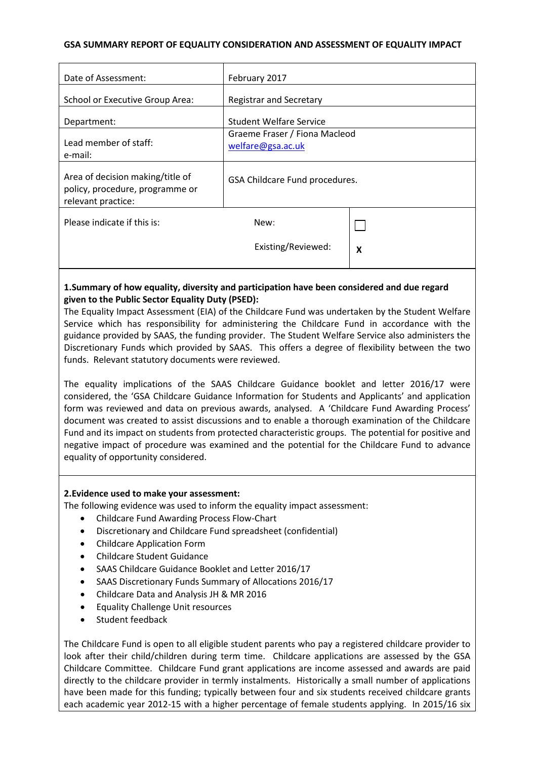### **GSA SUMMARY REPORT OF EQUALITY CONSIDERATION AND ASSESSMENT OF EQUALITY IMPACT**

| Date of Assessment:                                                                       | February 2017                                      |   |
|-------------------------------------------------------------------------------------------|----------------------------------------------------|---|
| School or Executive Group Area:                                                           | <b>Registrar and Secretary</b>                     |   |
| Department:                                                                               | <b>Student Welfare Service</b>                     |   |
| Lead member of staff:<br>e-mail:                                                          | Graeme Fraser / Fiona Macleod<br>welfare@gsa.ac.uk |   |
| Area of decision making/title of<br>policy, procedure, programme or<br>relevant practice: | GSA Childcare Fund procedures.                     |   |
| Please indicate if this is:                                                               | New:                                               |   |
|                                                                                           | Existing/Reviewed:                                 | X |
|                                                                                           |                                                    |   |

## **1.Summary of how equality, diversity and participation have been considered and due regard given to the Public Sector Equality Duty (PSED):**

The Equality Impact Assessment (EIA) of the Childcare Fund was undertaken by the Student Welfare Service which has responsibility for administering the Childcare Fund in accordance with the guidance provided by SAAS, the funding provider. The Student Welfare Service also administers the Discretionary Funds which provided by SAAS. This offers a degree of flexibility between the two funds. Relevant statutory documents were reviewed.

The equality implications of the SAAS Childcare Guidance booklet and letter 2016/17 were considered, the 'GSA Childcare Guidance Information for Students and Applicants' and application form was reviewed and data on previous awards, analysed. A 'Childcare Fund Awarding Process' document was created to assist discussions and to enable a thorough examination of the Childcare Fund and its impact on students from protected characteristic groups. The potential for positive and negative impact of procedure was examined and the potential for the Childcare Fund to advance equality of opportunity considered.

#### **2.Evidence used to make your assessment:**

The following evidence was used to inform the equality impact assessment:

- Childcare Fund Awarding Process Flow-Chart
- Discretionary and Childcare Fund spreadsheet (confidential)
- Childcare Application Form
- Childcare Student Guidance
- SAAS Childcare Guidance Booklet and Letter 2016/17
- SAAS Discretionary Funds Summary of Allocations 2016/17
- Childcare Data and Analysis JH & MR 2016
- Equality Challenge Unit resources
- Student feedback

The Childcare Fund is open to all eligible student parents who pay a registered childcare provider to look after their child/children during term time. Childcare applications are assessed by the GSA Childcare Committee. Childcare Fund grant applications are income assessed and awards are paid directly to the childcare provider in termly instalments. Historically a small number of applications have been made for this funding; typically between four and six students received childcare grants each academic year 2012-15 with a higher percentage of female students applying. In 2015/16 six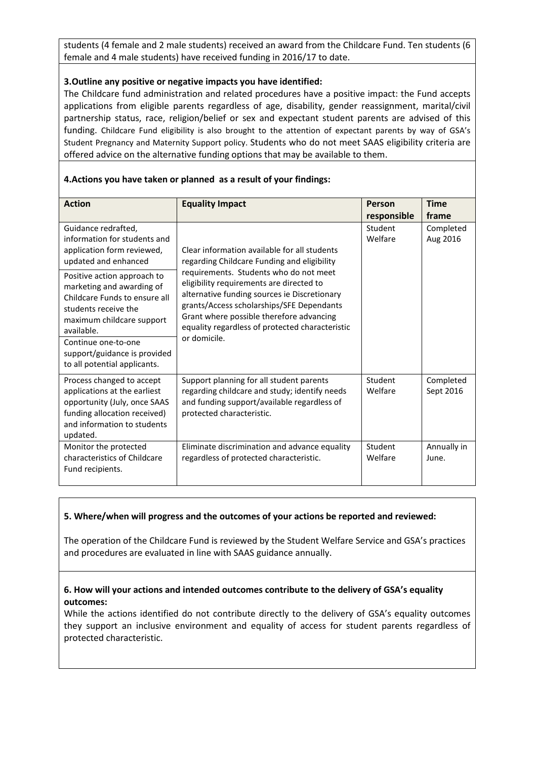students (4 female and 2 male students) received an award from the Childcare Fund. Ten students (6 female and 4 male students) have received funding in 2016/17 to date.

#### **3.Outline any positive or negative impacts you have identified:**

The Childcare fund administration and related procedures have a positive impact: the Fund accepts applications from eligible parents regardless of age, disability, gender reassignment, marital/civil partnership status, race, religion/belief or sex and expectant student parents are advised of this funding. Childcare Fund eligibility is also brought to the attention of expectant parents by way of GSA's Student Pregnancy and Maternity Support policy. Students who do not meet SAAS eligibility criteria are offered advice on the alternative funding options that may be available to them.

| <b>Action</b>                                                                                                                                                                                                                                       | <b>Equality Impact</b>                                                                                                                                                                                                                                                                                                                                                                        | Person             | <b>Time</b>            |
|-----------------------------------------------------------------------------------------------------------------------------------------------------------------------------------------------------------------------------------------------------|-----------------------------------------------------------------------------------------------------------------------------------------------------------------------------------------------------------------------------------------------------------------------------------------------------------------------------------------------------------------------------------------------|--------------------|------------------------|
|                                                                                                                                                                                                                                                     |                                                                                                                                                                                                                                                                                                                                                                                               | responsible        | frame                  |
| Guidance redrafted,<br>information for students and<br>application form reviewed,<br>updated and enhanced                                                                                                                                           | Clear information available for all students<br>regarding Childcare Funding and eligibility<br>requirements. Students who do not meet<br>eligibility requirements are directed to<br>alternative funding sources ie Discretionary<br>grants/Access scholarships/SFE Dependants<br>Grant where possible therefore advancing<br>equality regardless of protected characteristic<br>or domicile. | Student<br>Welfare | Completed<br>Aug 2016  |
| Positive action approach to<br>marketing and awarding of<br>Childcare Funds to ensure all<br>students receive the<br>maximum childcare support<br>available.<br>Continue one-to-one<br>support/guidance is provided<br>to all potential applicants. |                                                                                                                                                                                                                                                                                                                                                                                               |                    |                        |
| Process changed to accept<br>applications at the earliest<br>opportunity (July, once SAAS<br>funding allocation received)<br>and information to students<br>updated.                                                                                | Support planning for all student parents<br>regarding childcare and study; identify needs<br>and funding support/available regardless of<br>protected characteristic.                                                                                                                                                                                                                         | Student<br>Welfare | Completed<br>Sept 2016 |
| Monitor the protected<br>characteristics of Childcare<br>Fund recipients.                                                                                                                                                                           | Eliminate discrimination and advance equality<br>regardless of protected characteristic.                                                                                                                                                                                                                                                                                                      | Student<br>Welfare | Annually in<br>June.   |

### **4.Actions you have taken or planned as a result of your findings:**

#### **5. Where/when will progress and the outcomes of your actions be reported and reviewed:**

The operation of the Childcare Fund is reviewed by the Student Welfare Service and GSA's practices and procedures are evaluated in line with SAAS guidance annually.

### **6. How will your actions and intended outcomes contribute to the delivery of GSA's equality outcomes:**

While the actions identified do not contribute directly to the delivery of GSA's equality outcomes they support an inclusive environment and equality of access for student parents regardless of protected characteristic.